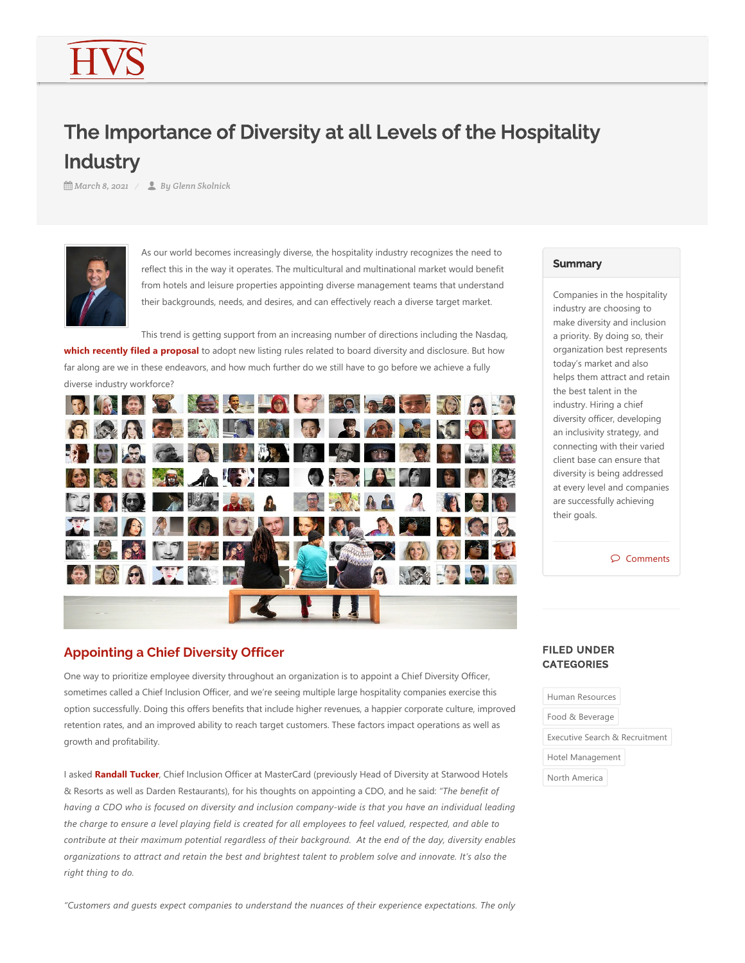# The Importance of Diversity at all Levels of the Hospitality **Industry**

*March 8, 2021 By Glenn Skolnick*



As our world becomes increasingly diverse, the hospitality industry recognizes the need to reflect this in the way it operates. The multicultural and multinational market would benefit from hotels and leisure properties appointing diverse management teams that understand their backgrounds, needs, and desires, and can effectively reach a diverse target market.

This trend is getting support from an increasing number of directions including the Nasdaq, **which recently filed a proposal** to adopt new listing rules related to board diversity and disclosure. But how far along are we in these endeavors, and how much further do we still have to go before we achieve a fully diverse industry workforce?



# **Appointing a Chief Diversity Officer**

One way to prioritize employee diversity throughout an organization is to appoint a Chief Diversity Officer, sometimes called a Chief Inclusion Officer, and we're seeing multiple large hospitality companies exercise this option successfully. Doing this offers benefits that include higher revenues, a happier corporate culture, improved retention rates, and an improved ability to reach target customers. These factors impact operations as well as growth and profitability.

I asked **Randall Tucker**, Chief Inclusion Officer at MasterCard (previously Head of Diversity at Starwood Hotels & Resorts as well as Darden Restaurants), for his thoughts on appointing a CDO, and he said: "The benefit of *having a CDO who is focused on diversity and inclusion company‐wide is that you have an individual leading the charge to ensure a level playing field is created for all employees to feel valued, respected, and able to contribute at their maximum potential regardless of their background. At the end of the day, diversity enables organizations to attract and retain the best and brightest talent to problem solve and innovate. It's also the right thing to do.*

#### *"Customers and guests expect companies to understand the nuances of their experience expectations. The only*

#### **Summary**

Companies in the hospitality industry are choosing to make diversity and inclusion a priority. By doing so, their organization best represents today's market and also helps them attract and retain the best talent in the industry. Hiring a chief diversity officer, developing an inclusivity strategy, and connecting with their varied client base can ensure that diversity is being addressed at every level and companies are successfully achieving their goals.

Comments

## FILED UNDER **CATEGORIES**

Human Resources Food & Beverage Executive Search & Recruitment Hotel Management

North America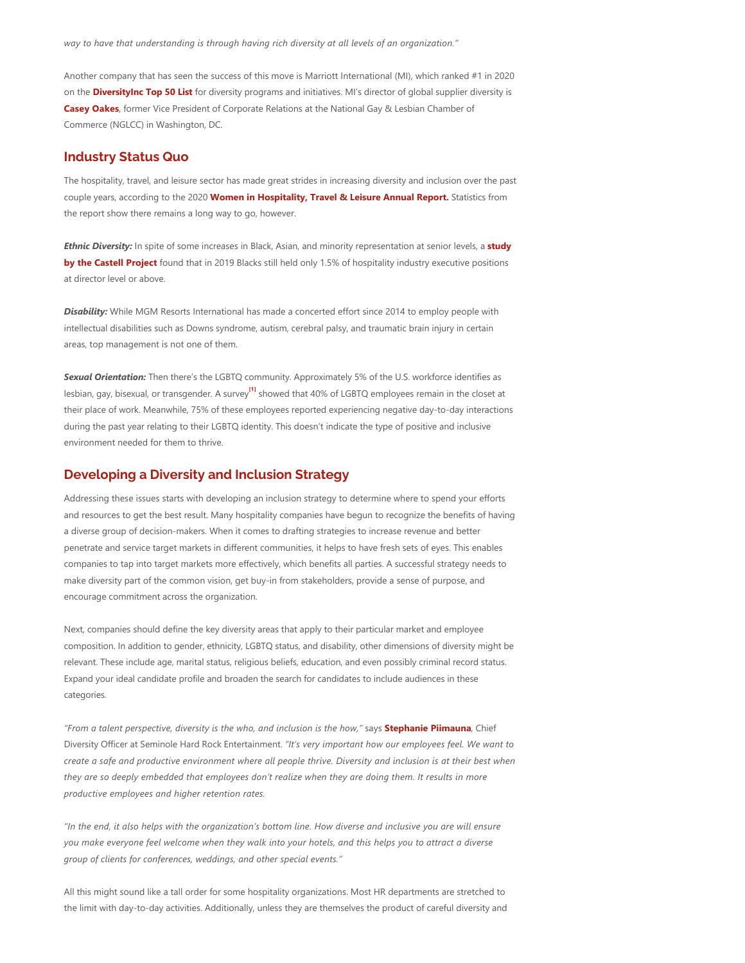*way to have that understanding is through having rich diversity at all levels of an organization."*

Another company that has seen the success of this move is Marriott International (MI), which ranked #1 in 2020 on the **DiversityInc Top 50 List** for diversity programs and initiatives. MI's director of global supplier diversity is **Casey Oakes**, former Vice President of Corporate Relations at the National Gay & Lesbian Chamber of Commerce (NGLCC) in Washington, DC.

#### **Industry Status Quo**

The hospitality, travel, and leisure sector has made great strides in increasing diversity and inclusion over the past couple years, according to the 2020 **Women in Hospitality, Travel & Leisure Annual Report.** Statistics from the report show there remains a long way to go, however.

*Ethnic Diversity:* In spite of some increases in Black, Asian, and minority representation at senior levels, a **study by the Castell Project** found that in 2019 Blacks still held only 1.5% of hospitality industry executive positions at director level or above.

*Disability:* While MGM Resorts International has made a concerted effort since 2014 to employ people with intellectual disabilities such as Downs syndrome, autism, cerebral palsy, and traumatic brain injury in certain areas, top management is not one of them.

<span id="page-1-0"></span>*Sexual Orientation:* Then there's the LGBTQ community. Approximately 5% of the U.S. workforce identifies as lesbian, gay, bisexual, or transgender. A survey<sup>11</sup> showed that 40% of LGBTQ employees remain in the closet at their place of work. Meanwhile, 75% of these employees reported experiencing negative day‐to‐day interactions during the past year relating to their LGBTQ identity. This doesn't indicate the type of positive and inclusive environment needed for them to thrive.

## **Developing a Diversity and Inclusion Strategy**

Addressing these issues starts with developing an inclusion strategy to determine where to spend your efforts and resources to get the best result. Many hospitality companies have begun to recognize the benefits of having a diverse group of decision-makers. When it comes to drafting strategies to increase revenue and better penetrate and service target markets in different communities, it helps to have fresh sets of eyes. This enables companies to tap into target markets more effectively, which benefits all parties. A successful strategy needs to make diversity part of the common vision, get buy-in from stakeholders, provide a sense of purpose, and encourage commitment across the organization.

Next, companies should define the key diversity areas that apply to their particular market and employee composition. In addition to gender, ethnicity, LGBTQ status, and disability, other dimensions of diversity might be relevant. These include age, marital status, religious beliefs, education, and even possibly criminal record status. Expand your ideal candidate profile and broaden the search for candidates to include audiences in these categories.

*"From a talent perspective, diversity is the who, and inclusion is the how,"* says **Stephanie Piimauna**, Chief Diversity Officer at Seminole Hard Rock Entertainment. *"It's very important how our employees feel. We want to create a safe and productive environment where all people thrive. Diversity and inclusion is at their best when they are so deeply embedded that employees don't realize when they are doing them. It results in more productive employees and higher retention rates.* 

*"In the end, it also helps with the organization's bottom line. How diverse and inclusive you are will ensure you make everyone feel welcome when they walk into your hotels, and this helps you to attract a diverse group of clients for conferences, weddings, and other special events."*

All this might sound like a tall order for some hospitality organizations. Most HR departments are stretched to the limit with day‐to‐day activities. Additionally, unless they are themselves the product of careful diversity and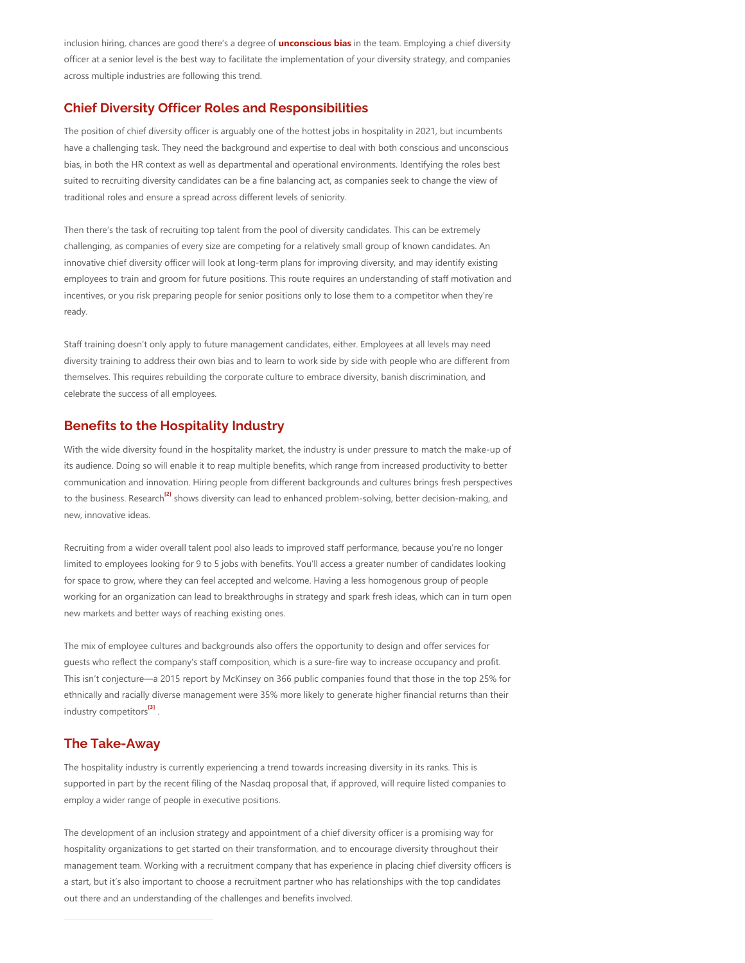inclusion hiring, chances are good there's a degree of **unconscious bias** in the team. Employing a chief diversity officer at a senior level is the best way to facilitate the implementation of your diversity strategy, and companies across multiple industries are following this trend.

## **Chief Diversity Officer Roles and Responsibilities**

The position of chief diversity officer is arguably one of the hottest jobs in hospitality in 2021, but incumbents have a challenging task. They need the background and expertise to deal with both conscious and unconscious bias, in both the HR context as well as departmental and operational environments. Identifying the roles best suited to recruiting diversity candidates can be a fine balancing act, as companies seek to change the view of traditional roles and ensure a spread across different levels of seniority.

Then there's the task of recruiting top talent from the pool of diversity candidates. This can be extremely challenging, as companies of every size are competing for a relatively small group of known candidates. An innovative chief diversity officer will look at long-term plans for improving diversity, and may identify existing employees to train and groom for future positions. This route requires an understanding of staff motivation and incentives, or you risk preparing people for senior positions only to lose them to a competitor when they're ready.

Staff training doesn't only apply to future management candidates, either. Employees at all levels may need diversity training to address their own bias and to learn to work side by side with people who are different from themselves. This requires rebuilding the corporate culture to embrace diversity, banish discrimination, and celebrate the success of all employees.

# **Benefits to the Hospitality Industry**

<span id="page-2-0"></span>With the wide diversity found in the hospitality market, the industry is under pressure to match the make‐up of its audience. Doing so will enable it to reap multiple benefits, which range from increased productivity to better communication and innovation. Hiring people from different backgrounds and cultures brings fresh perspectives to the business. Research<sup>izi</sup> shows diversity can lead to enhanced problem-solving, better decision-making, and new, innovative ideas.

Recruiting from a wider overall talent pool also leads to improved staff performance, because you're no longer limited to employees looking for 9 to 5 jobs with benefits. You'll access a greater number of candidates looking for space to grow, where they can feel accepted and welcome. Having a less homogenous group of people working for an organization can lead to breakthroughs in strategy and spark fresh ideas, which can in turn open new markets and better ways of reaching existing ones.

The mix of employee cultures and backgrounds also offers the opportunity to design and offer services for guests who reflect the company's staff composition, which is a sure‐fire way to increase occupancy and profit. This isn't conjecture—a 2015 report by McKinsey on 366 public companies found that those in the top 25% for ethnically and racially diverse management were 35% more likely to generate higher financial returns than their industry competitors<sup>[3]</sup>.

#### **The Take-Away**

The hospitality industry is currently experiencing a trend towards increasing diversity in its ranks. This is supported in part by the recent filing of the Nasdaq proposal that, if approved, will require listed companies to employ a wider range of people in executive positions.

The development of an inclusion strategy and appointment of a chief diversity officer is a promising way for hospitality organizations to get started on their transformation, and to encourage diversity throughout their management team. Working with a recruitment company that has experience in placing chief diversity officers is a start, but it's also important to choose a recruitment partner who has relationships with the top candidates out there and an understanding of the challenges and benefits involved.